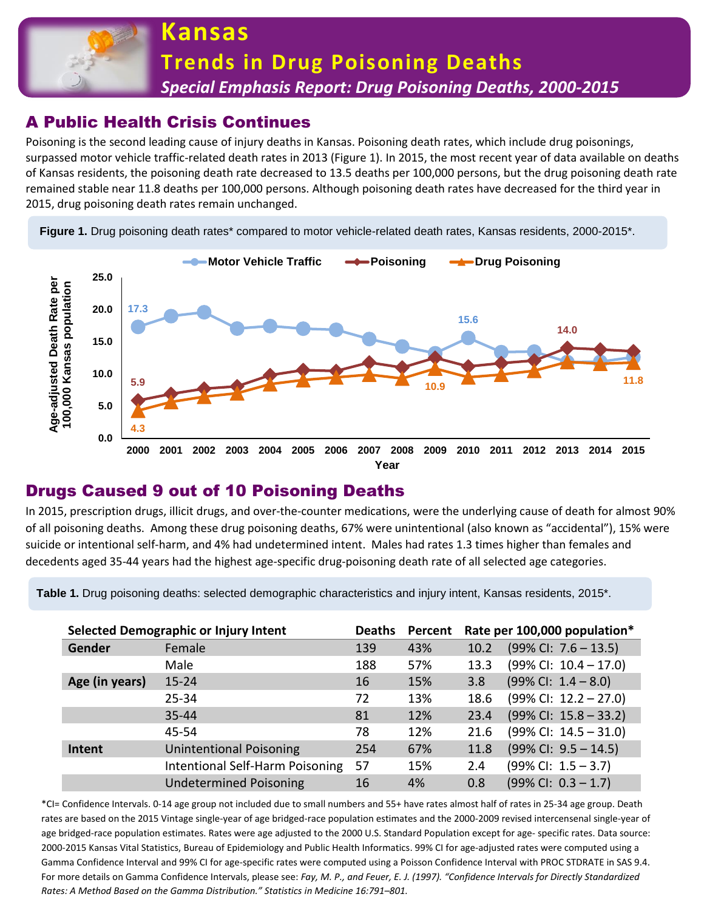

# A Public Health Crisis Continues

Poisoning is the second leading cause of injury deaths in Kansas. Poisoning death rates, which include drug poisonings, surpassed motor vehicle traffic-related death rates in 2013 (Figure 1). In 2015, the most recent year of data available on deaths of Kansas residents, the poisoning death rate decreased to 13.5 deaths per 100,000 persons, but the drug poisoning death rate remained stable near 11.8 deaths per 100,000 persons. Although poisoning death rates have decreased for the third year in 2015, drug poisoning death rates remain unchanged.

Figure 1. Drug poisoning death rates<sup>\*</sup> compared to motor vehicle-related death rates, Kansas residents, 2000-2015<sup>\*</sup>.



### Drugs Caused 9 out of 10 Poisoning Deaths

In 2015, prescription drugs, illicit drugs, and over-the-counter medications, were the underlying cause of death for almost 90% of all poisoning deaths. Among these drug poisoning deaths, 67% were unintentional (also known as "accidental"), 15% were suicide or intentional self-harm, and 4% had undetermined intent. Males had rates 1.3 times higher than females and decedents aged 35-44 years had the highest age-specific drug-poisoning death rate of all selected age categories.

**Table 1.** Drug poisoning deaths: selected demographic characteristics and injury intent, Kansas residents, 2015\*.

| Selected Demographic or Injury Intent |                                 | <b>Deaths</b> | Percent | Rate per 100,000 population* |                                 |
|---------------------------------------|---------------------------------|---------------|---------|------------------------------|---------------------------------|
| Gender                                | Female                          | 139           | 43%     | 10.2                         | $(99\%$ Cl: 7.6 - 13.5)         |
|                                       | Male                            | 188           | 57%     | 13.3                         | $(99\%$ CI: $10.4 - 17.0)$      |
| Age (in years)                        | $15 - 24$                       | 16            | 15%     | 3.8                          | $(99\%$ CI: $1.4 - 8.0)$        |
|                                       | $25 - 34$                       | 72            | 13%     | 18.6                         | $(99\%$ CI: $12.2 - 27.0)$      |
|                                       | $35 - 44$                       | 81            | 12%     | 23.4                         | $(99\%$ CI: $15.8 - 33.2)$      |
|                                       | 45-54                           | 78            | 12%     | 21.6                         | $(99\%$ CI: $14.5 - 31.0)$      |
| Intent                                | <b>Unintentional Poisoning</b>  | 254           | 67%     | 11.8                         | $(99\%$ CI: $9.5 - 14.5)$       |
|                                       | Intentional Self-Harm Poisoning | 57            | 15%     | 2.4                          | $(99\%$ CI: $1.5 - 3.7)$        |
|                                       | <b>Undetermined Poisoning</b>   | 16            | 4%      | 0.8                          | $(99\% \text{ Cl: } 0.3 - 1.7)$ |

\*CI= Confidence Intervals. 0-14 age group not included due to small numbers and 55+ have rates almost half of rates in 25-34 age group. Death rates are based on the 2015 Vintage single-year of age bridged-race population estimates and the 2000-2009 revised intercensenal single-year of age bridged-race population estimates. Rates were age adjusted to the 2000 U.S. Standard Population except for age- specific rates. Data source: 2000-2015 Kansas Vital Statistics, Bureau of Epidemiology and Public Health Informatics. 99% CI for age-adjusted rates were computed using a Gamma Confidence Interval and 99% CI for age-specific rates were computed using a Poisson Confidence Interval with PROC STDRATE in SAS 9.4. For more details on Gamma Confidence Intervals, please see: *Fay, M. P., and Feuer, E. J. (1997). "Confidence Intervals for Directly Standardized Rates: A Method Based on the Gamma Distribution." Statistics in Medicine 16:791–801.*